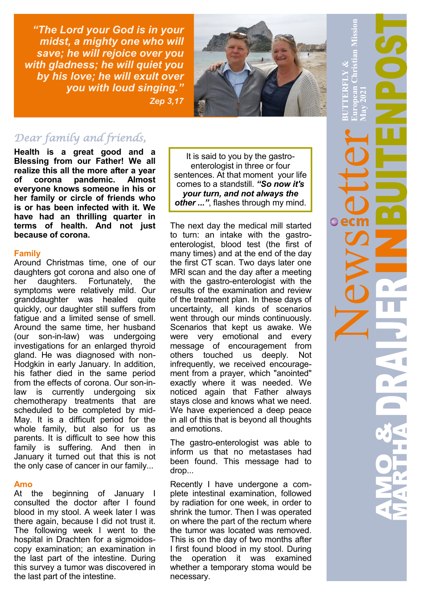*"The Lord your God is in your midst, a mighty one who will save; he will rejoice over you with gladness; he will quiet you by his love; he will exult over you with loud singing." Zep 3,17*



# *Dear family and friends,*

**Health is a great good and a Blessing from our Father! We all realize this all the more after a year of corona pandemic. Almost everyone knows someone in his or her family or circle of friends who is or has been infected with it. We have had an thrilling quarter in terms of health. And not just because of corona.**

### **Family**

Around Christmas time, one of our daughters got corona and also one of her daughters. Fortunately, the symptoms were relatively mild. Our granddaughter was healed quite quickly, our daughter still suffers from fatigue and a limited sense of smell. Around the same time, her husband (our son-in-law) was undergoing investigations for an enlarged thyroid gland. He was diagnosed with non-Hodgkin in early January. In addition, his father died in the same period from the effects of corona. Our son-inlaw is currently undergoing six chemotherapy treatments that are scheduled to be completed by mid-May. It is a difficult period for the whole family, but also for us as parents. It is difficult to see how this family is suffering. And then in January it turned out that this is not the only case of cancer in our family...

## **Amo**

At the beginning of January I consulted the doctor after I found blood in my stool. A week later I was there again, because I did not trust it. The following week I went to the hospital in Drachten for a sigmoidoscopy examination; an examination in the last part of the intestine. During this survey a tumor was discovered in the last part of the intestine.

It is said to you by the gastroenterologist in three or four sentences. At that moment your life comes to a standstill. *"So now it's your turn, and not always the other ..."*, flashes through my mind.

The next day the medical mill started to turn: an intake with the gastroenterologist, blood test (the first of many times) and at the end of the day the first CT scan. Two days later one MRI scan and the day after a meeting with the gastro-enterologist with the results of the examination and review of the treatment plan. In these days of uncertainty, all kinds of scenarios went through our minds continuously. Scenarios that kept us awake. We were very emotional and every message of encouragement from others touched us deeply. Not infrequently, we received encouragement from a prayer, which "anointed" exactly where it was needed. We noticed again that Father always stays close and knows what we need. We have experienced a deep peace in all of this that is beyond all thoughts and emotions.

The gastro-enterologist was able to inform us that no metastases had been found. This message had to drop...

Recently I have undergone a complete intestinal examination, followed by radiation for one week, in order to shrink the tumor. Then I was operated on where the part of the rectum where the tumor was located was removed. This is on the day of two months after I first found blood in my stool. During the operation it was examined whether a temporary stoma would be necessary.